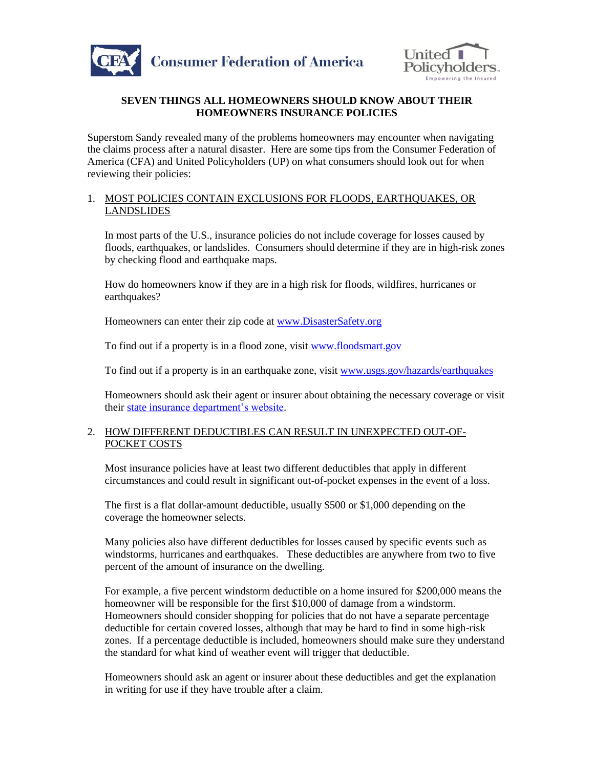



## **SEVEN THINGS ALL HOMEOWNERS SHOULD KNOW ABOUT THEIR HOMEOWNERS INSURANCE POLICIES**

Superstom Sandy revealed many of the problems homeowners may encounter when navigating the claims process after a natural disaster. Here are some tips from the Consumer Federation of America (CFA) and United Policyholders (UP) on what consumers should look out for when reviewing their policies:

#### 1. MOST POLICIES CONTAIN EXCLUSIONS FOR FLOODS, EARTHQUAKES, OR LANDSLIDES

In most parts of the U.S., insurance policies do not include coverage for losses caused by floods, earthquakes, or landslides. Consumers should determine if they are in high-risk zones by checking flood and earthquake maps.

How do homeowners know if they are in a high risk for floods, wildfires, hurricanes or earthquakes?

Homeowners can enter their zip code at [www.DisasterSafety.org](http://www.disastersafety.org/)

To find out if a property is in a flood zone, visit [www.floodsmart.gov](http://www.floodsmart.gov/)

To find out if a property is in an earthquake zone, visit [www.usgs.gov/hazards/earthquakes](http://www.usgs.gov/hazards/earthquakes)

Homeowners should ask their agent or insurer about obtaining the necessary coverage or visit their state [insurance department's website.](http://www.naic.org/state_web_map.htm)

## 2. HOW DIFFERENT DEDUCTIBLES CAN RESULT IN UNEXPECTED OUT-OF-POCKET COSTS

Most insurance policies have at least two different deductibles that apply in different circumstances and could result in significant out-of-pocket expenses in the event of a loss.

The first is a flat dollar-amount deductible, usually \$500 or \$1,000 depending on the coverage the homeowner selects.

Many policies also have different deductibles for losses caused by specific events such as windstorms, hurricanes and earthquakes. These deductibles are anywhere from two to five percent of the amount of insurance on the dwelling.

For example, a five percent windstorm deductible on a home insured for \$200,000 means the homeowner will be responsible for the first \$10,000 of damage from a windstorm. Homeowners should consider shopping for policies that do not have a separate percentage deductible for certain covered losses, although that may be hard to find in some high-risk zones. If a percentage deductible is included, homeowners should make sure they understand the standard for what kind of weather event will trigger that deductible.

Homeowners should ask an agent or insurer about these deductibles and get the explanation in writing for use if they have trouble after a claim.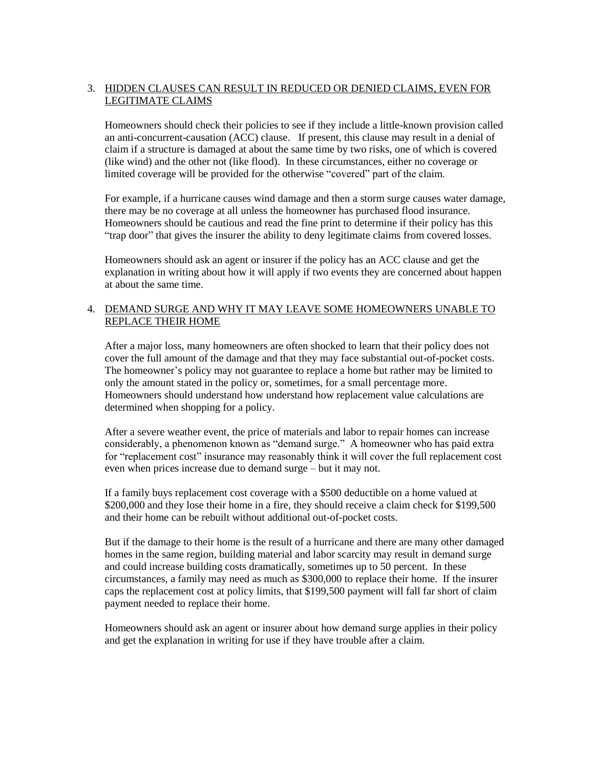# 3. HIDDEN CLAUSES CAN RESULT IN REDUCED OR DENIED CLAIMS, EVEN FOR LEGITIMATE CLAIMS

Homeowners should check their policies to see if they include a little-known provision called an anti-concurrent-causation (ACC) clause. If present, this clause may result in a denial of claim if a structure is damaged at about the same time by two risks, one of which is covered (like wind) and the other not (like flood). In these circumstances, either no coverage or limited coverage will be provided for the otherwise "covered" part of the claim.

For example, if a hurricane causes wind damage and then a storm surge causes water damage, there may be no coverage at all unless the homeowner has purchased flood insurance. Homeowners should be cautious and read the fine print to determine if their policy has this "trap door" that gives the insurer the ability to deny legitimate claims from covered losses.

Homeowners should ask an agent or insurer if the policy has an ACC clause and get the explanation in writing about how it will apply if two events they are concerned about happen at about the same time.

## 4. DEMAND SURGE AND WHY IT MAY LEAVE SOME HOMEOWNERS UNABLE TO REPLACE THEIR HOME

After a major loss, many homeowners are often shocked to learn that their policy does not cover the full amount of the damage and that they may face substantial out-of-pocket costs. The homeowner's policy may not guarantee to replace a home but rather may be limited to only the amount stated in the policy or, sometimes, for a small percentage more. Homeowners should understand how understand how replacement value calculations are determined when shopping for a policy.

After a severe weather event, the price of materials and labor to repair homes can increase considerably, a phenomenon known as "demand surge." A homeowner who has paid extra for "replacement cost" insurance may reasonably think it will cover the full replacement cost even when prices increase due to demand surge – but it may not.

If a family buys replacement cost coverage with a \$500 deductible on a home valued at \$200,000 and they lose their home in a fire, they should receive a claim check for \$199,500 and their home can be rebuilt without additional out-of-pocket costs.

But if the damage to their home is the result of a hurricane and there are many other damaged homes in the same region, building material and labor scarcity may result in demand surge and could increase building costs dramatically, sometimes up to 50 percent. In these circumstances, a family may need as much as \$300,000 to replace their home. If the insurer caps the replacement cost at policy limits, that \$199,500 payment will fall far short of claim payment needed to replace their home.

Homeowners should ask an agent or insurer about how demand surge applies in their policy and get the explanation in writing for use if they have trouble after a claim.